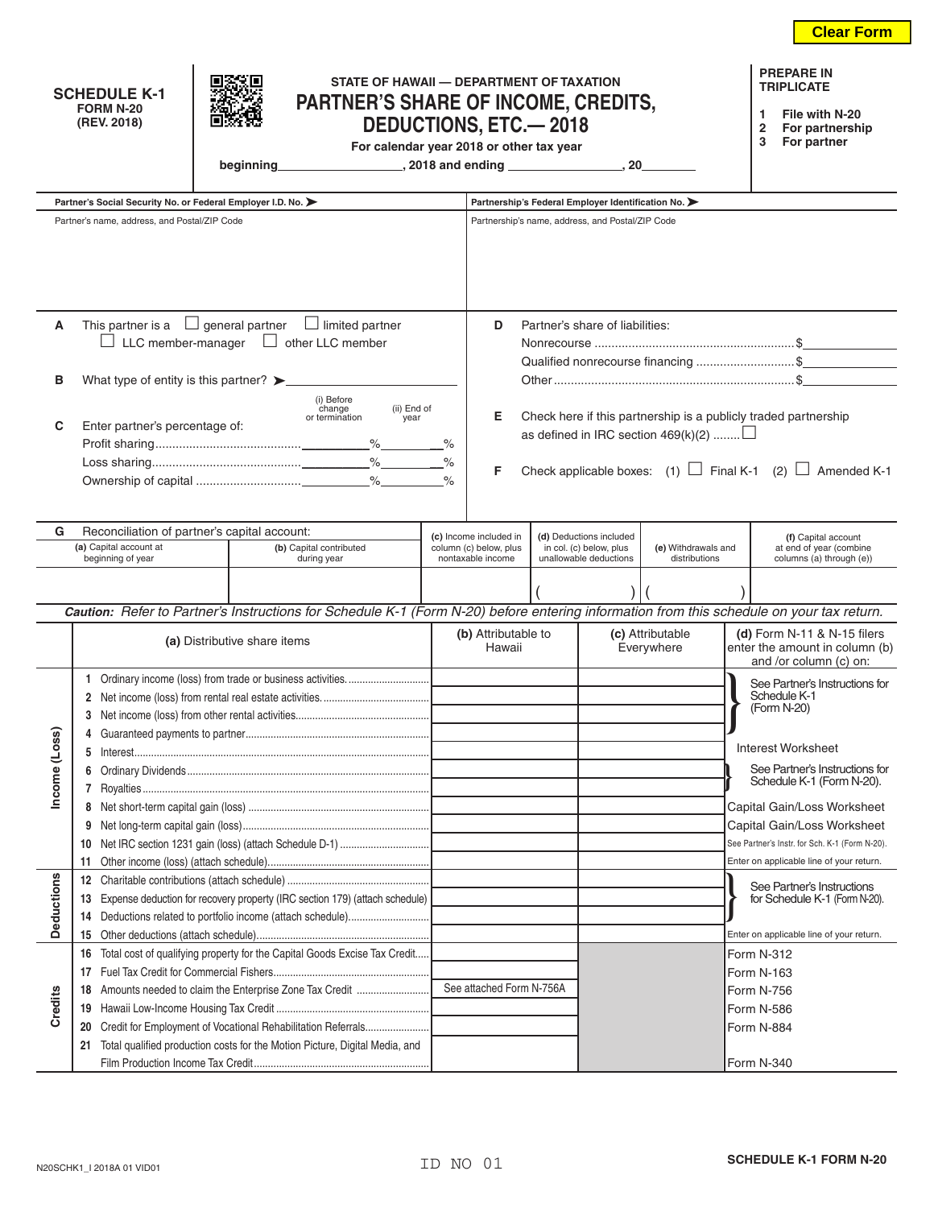|                   | STATE OF HAWAII - DEPARTMENT OF TAXATION<br><b>SCHEDULE K-1</b><br>PARTNER'S SHARE OF INCOME, CREDITS,<br><b>FORM N-20</b><br>(REV. 2018)<br><b>DEDUCTIONS, ETC.—2018</b><br>For calendar year 2018 or other tax year<br>beginning |                                                                                                                                                                          |                          |                                                  |                                                                              |                                                                                                         |                                                                                                                                                                                           |                                | <b>PREPARE IN</b><br><b>TRIPLICATE</b><br>File with N-20<br>1<br>$\overline{2}$<br>For partnership<br>For partner<br>3 |            |                                                                                             |  |
|-------------------|------------------------------------------------------------------------------------------------------------------------------------------------------------------------------------------------------------------------------------|--------------------------------------------------------------------------------------------------------------------------------------------------------------------------|--------------------------|--------------------------------------------------|------------------------------------------------------------------------------|---------------------------------------------------------------------------------------------------------|-------------------------------------------------------------------------------------------------------------------------------------------------------------------------------------------|--------------------------------|------------------------------------------------------------------------------------------------------------------------|------------|---------------------------------------------------------------------------------------------|--|
|                   | Partner's Social Security No. or Federal Employer I.D. No. >                                                                                                                                                                       |                                                                                                                                                                          |                          |                                                  |                                                                              |                                                                                                         |                                                                                                                                                                                           |                                |                                                                                                                        |            |                                                                                             |  |
|                   | Partner's name, address, and Postal/ZIP Code                                                                                                                                                                                       |                                                                                                                                                                          |                          |                                                  |                                                                              | Partnership's Federal Employer Identification No. ><br>Partnership's name, address, and Postal/ZIP Code |                                                                                                                                                                                           |                                |                                                                                                                        |            |                                                                                             |  |
|                   |                                                                                                                                                                                                                                    |                                                                                                                                                                          |                          |                                                  |                                                                              |                                                                                                         |                                                                                                                                                                                           |                                |                                                                                                                        |            |                                                                                             |  |
| A                 | This partner is a $\Box$ general partner $\Box$ limited partner                                                                                                                                                                    | Partner's share of liabilities:<br>D                                                                                                                                     |                          |                                                  |                                                                              |                                                                                                         |                                                                                                                                                                                           |                                |                                                                                                                        |            |                                                                                             |  |
|                   | $\Box$ LLC member-manager $\Box$ other LLC member                                                                                                                                                                                  |                                                                                                                                                                          |                          |                                                  |                                                                              |                                                                                                         |                                                                                                                                                                                           |                                |                                                                                                                        |            |                                                                                             |  |
|                   |                                                                                                                                                                                                                                    |                                                                                                                                                                          |                          |                                                  |                                                                              |                                                                                                         | Qualified nonrecourse financing \$                                                                                                                                                        |                                |                                                                                                                        |            |                                                                                             |  |
| в                 |                                                                                                                                                                                                                                    |                                                                                                                                                                          |                          |                                                  |                                                                              |                                                                                                         |                                                                                                                                                                                           |                                |                                                                                                                        |            |                                                                                             |  |
| C                 | (i) Before<br>change<br>(ii) End of<br>or termination<br>year<br>Enter partner's percentage of:<br>$\%$                                                                                                                            |                                                                                                                                                                          |                          |                                                  |                                                                              |                                                                                                         | Check here if this partnership is a publicly traded partnership<br>Е<br>as defined in IRC section $469(k)(2)$<br>Check applicable boxes: (1) $\Box$ Final K-1 (2) $\Box$ Amended K-1<br>F |                                |                                                                                                                        |            |                                                                                             |  |
| G                 | Reconciliation of partner's capital account:                                                                                                                                                                                       |                                                                                                                                                                          |                          |                                                  |                                                                              |                                                                                                         |                                                                                                                                                                                           |                                |                                                                                                                        |            |                                                                                             |  |
|                   | (a) Capital account at<br>(b) Capital contributed                                                                                                                                                                                  |                                                                                                                                                                          |                          | (c) Income included in<br>column (c) below, plus | (d) Deductions included<br>in col. (c) below, plus<br>unallowable deductions |                                                                                                         | (e) Withdrawals and                                                                                                                                                                       |                                | (f) Capital account<br>at end of year (combine                                                                         |            |                                                                                             |  |
|                   | beginning of year                                                                                                                                                                                                                  |                                                                                                                                                                          | during year              |                                                  |                                                                              | nontaxable income                                                                                       |                                                                                                                                                                                           |                                | distributions                                                                                                          |            | columns (a) through (e))                                                                    |  |
|                   |                                                                                                                                                                                                                                    | Caution: Refer to Partner's Instructions for Schedule K-1 (Form N-20) before entering information from this schedule on your tax return.<br>(a) Distributive share items |                          |                                                  |                                                                              | (b) Attributable to<br>(c) Attributable<br>Hawaii<br>Everywhere                                         |                                                                                                                                                                                           |                                |                                                                                                                        |            | (d) Form $N-11$ & $N-15$ filers<br>enter the amount in column (b)<br>and /or column (c) on: |  |
|                   |                                                                                                                                                                                                                                    |                                                                                                                                                                          |                          |                                                  |                                                                              |                                                                                                         |                                                                                                                                                                                           | See Partner's Instructions for |                                                                                                                        |            |                                                                                             |  |
| Income (Los       |                                                                                                                                                                                                                                    |                                                                                                                                                                          |                          |                                                  |                                                                              |                                                                                                         | Schedule K-1                                                                                                                                                                              |                                |                                                                                                                        |            |                                                                                             |  |
|                   |                                                                                                                                                                                                                                    |                                                                                                                                                                          |                          |                                                  |                                                                              |                                                                                                         |                                                                                                                                                                                           |                                |                                                                                                                        |            | (Form N-20)                                                                                 |  |
|                   | Guaranteed payments to partner                                                                                                                                                                                                     |                                                                                                                                                                          |                          |                                                  |                                                                              |                                                                                                         |                                                                                                                                                                                           |                                |                                                                                                                        |            |                                                                                             |  |
|                   |                                                                                                                                                                                                                                    |                                                                                                                                                                          |                          |                                                  |                                                                              |                                                                                                         |                                                                                                                                                                                           |                                |                                                                                                                        |            | Interest Worksheet                                                                          |  |
|                   | 6                                                                                                                                                                                                                                  |                                                                                                                                                                          |                          |                                                  |                                                                              |                                                                                                         |                                                                                                                                                                                           |                                |                                                                                                                        |            | See Partner's Instructions for<br>Schedule K-1 (Form N-20).                                 |  |
|                   |                                                                                                                                                                                                                                    |                                                                                                                                                                          |                          |                                                  |                                                                              |                                                                                                         |                                                                                                                                                                                           |                                |                                                                                                                        |            |                                                                                             |  |
|                   |                                                                                                                                                                                                                                    |                                                                                                                                                                          |                          |                                                  |                                                                              |                                                                                                         |                                                                                                                                                                                           |                                |                                                                                                                        |            | Capital Gain/Loss Worksheet                                                                 |  |
|                   | 9                                                                                                                                                                                                                                  |                                                                                                                                                                          |                          |                                                  |                                                                              |                                                                                                         |                                                                                                                                                                                           |                                |                                                                                                                        |            | Capital Gain/Loss Worksheet<br>See Partner's Instr. for Sch. K-1 (Form N-20).               |  |
|                   | 10<br>11                                                                                                                                                                                                                           |                                                                                                                                                                          |                          |                                                  |                                                                              |                                                                                                         |                                                                                                                                                                                           |                                |                                                                                                                        |            | Enter on applicable line of your return.                                                    |  |
|                   | 12                                                                                                                                                                                                                                 |                                                                                                                                                                          |                          |                                                  |                                                                              |                                                                                                         |                                                                                                                                                                                           |                                |                                                                                                                        |            |                                                                                             |  |
| <b>Deductions</b> | Expense deduction for recovery property (IRC section 179) (attach schedule)<br>13                                                                                                                                                  |                                                                                                                                                                          |                          |                                                  |                                                                              |                                                                                                         |                                                                                                                                                                                           |                                |                                                                                                                        |            | See Partner's Instructions<br>for Schedule K-1 (Form N-20).                                 |  |
|                   | Deductions related to portfolio income (attach schedule)<br>14                                                                                                                                                                     |                                                                                                                                                                          |                          |                                                  |                                                                              |                                                                                                         |                                                                                                                                                                                           |                                |                                                                                                                        |            |                                                                                             |  |
|                   | 15                                                                                                                                                                                                                                 |                                                                                                                                                                          |                          |                                                  |                                                                              |                                                                                                         |                                                                                                                                                                                           |                                |                                                                                                                        |            | Enter on applicable line of your return.                                                    |  |
| Credits           | Total cost of qualifying property for the Capital Goods Excise Tax Credit<br>16                                                                                                                                                    |                                                                                                                                                                          |                          |                                                  |                                                                              |                                                                                                         | Form N-312                                                                                                                                                                                |                                |                                                                                                                        |            |                                                                                             |  |
|                   | 17                                                                                                                                                                                                                                 |                                                                                                                                                                          |                          |                                                  |                                                                              |                                                                                                         | Form N-163                                                                                                                                                                                |                                |                                                                                                                        |            |                                                                                             |  |
|                   | Amounts needed to claim the Enterprise Zone Tax Credit<br>18                                                                                                                                                                       |                                                                                                                                                                          | See attached Form N-756A |                                                  |                                                                              |                                                                                                         | Form N-756                                                                                                                                                                                |                                |                                                                                                                        |            |                                                                                             |  |
|                   | 19                                                                                                                                                                                                                                 |                                                                                                                                                                          |                          |                                                  |                                                                              |                                                                                                         |                                                                                                                                                                                           |                                |                                                                                                                        | Form N-586 |                                                                                             |  |
|                   | Credit for Employment of Vocational Rehabilitation Referrals<br>20                                                                                                                                                                 |                                                                                                                                                                          |                          |                                                  |                                                                              |                                                                                                         | Form N-884                                                                                                                                                                                |                                |                                                                                                                        |            |                                                                                             |  |
|                   | 21 Total qualified production costs for the Motion Picture, Digital Media, and                                                                                                                                                     |                                                                                                                                                                          |                          |                                                  |                                                                              |                                                                                                         |                                                                                                                                                                                           |                                |                                                                                                                        |            |                                                                                             |  |
|                   |                                                                                                                                                                                                                                    |                                                                                                                                                                          |                          |                                                  |                                                                              |                                                                                                         |                                                                                                                                                                                           |                                |                                                                                                                        | Form N-340 |                                                                                             |  |

**Clear Form**